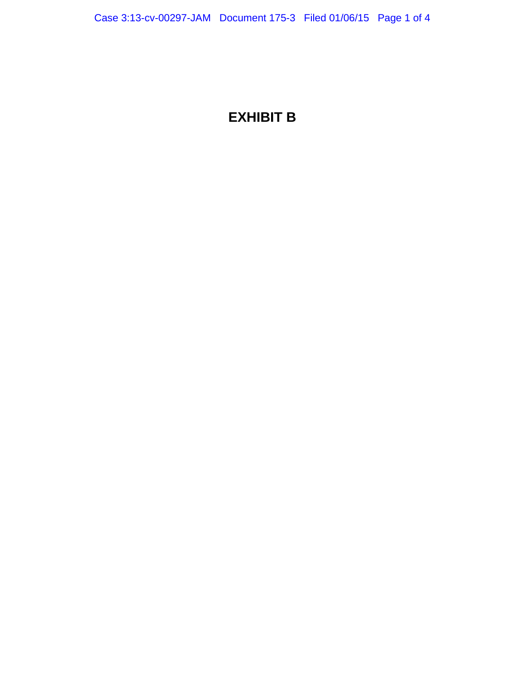# **EXHIBIT B**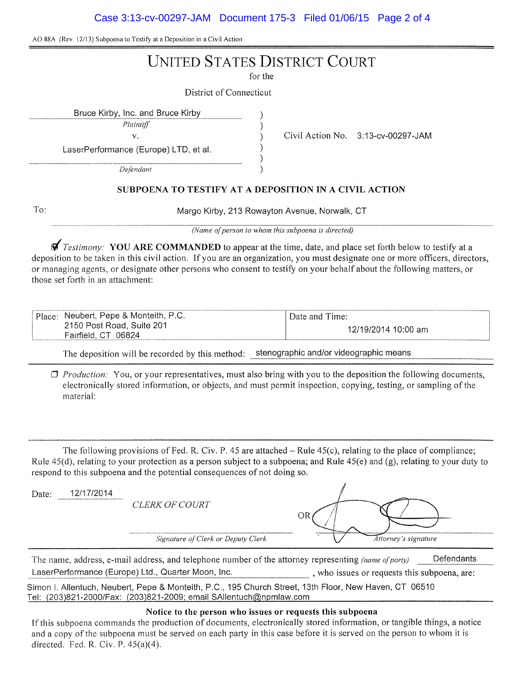Case 3:13-cv-00297-JAM Document 175-3 Filed 01/06/15 Page 2 of 4

AO 88A (Rev. 12/13) Subpoena to Testify at a Deposition in a Civil Action

# UNITED STATES DISTRICT COURT

for the

) )

District of Connecticut

Bruce Kirby, Inc. and Bruce Kirby )

*Plaintiff* 

v. Civil Action No. 3:13-cv-00297-JAM

LaserPerformance (Europe) LTD, et al.

*Defendant* 

### ) )

SUBPOENA TO TESTIFY AT A DEPOSITION IN A CIVIL ACTION

)

To:

Margo Kirby, 213 Rowayton Avenue, Norwalk, CT

*(Name of person to whom this subpoena is directed)* 

 $\vec{\mathbf{y}}$  Testimony: YOU ARE COMMANDED to appear at the time, date, and place set forth below to testify at a deposition to be taken in this civil action. If you are an organization, you must designate one or more officers, directors, or managing agents, or designate other persons who consent to testify on your behalf about the following matters, or those set forth in an attachment:

| Place:<br>t. Pepe & Monteith, P.C.<br>Neubert.      | $\Delta$ Date and $\Gamma$<br>`ime: |
|-----------------------------------------------------|-------------------------------------|
| 2150 Post Road, Suite 201<br>06824<br>Fairfield, CT | l2/19/2014 10:00<br>am              |

The deposition will be recorded by this method: stenographic and/or videographic means

0 *Production:* You, or your representatives, must also bring with you to the deposition the following documents, electronically stored information, or objects, and must permit inspection, copying, testing, or sampling of the material:

The following provisions of Fed. R. Civ. P. 45 are attached  $-$  Rule 45(c), relating to the place of compliance; Rule  $45(d)$ , relating to your protection as a person subject to a subpoena; and Rule  $45(e)$  and  $(g)$ , relating to your duty to respond to this subpoena and the potential consequences of not doing so.

| Date: | 12/17/2014 | <i>CLERK OF COURT</i>              | ЭR                   |
|-------|------------|------------------------------------|----------------------|
|       |            | Signature of Clerk or Deputy Clerk | Attorney's signature |

The name, address, e-mail address, and telephone number of the attorney representing *(name of party)* Defendants LaserPerformance (Europe) Ltd., Quarter Moon, Inc. , who issues or requests this subpoena, are:

Simon I. Allentuch, Neubert, Pepe & Monteith, P.C., 195 Church Street, 13th Floor, New Haven, CT 06510 Tel: (203)821-2000/Fax: (203)821-2009; email SAllentuch@npmlaw.com

## Notice to the person who issues or requests this subpoena

If this subpoena commands the production of documents, electronically stored information, or tangible things, a notice and a copy of the subpoena must be served on each party in this case before it is served on the person to whom it is directed. Fed. R. Civ. P.  $45(a)(4)$ .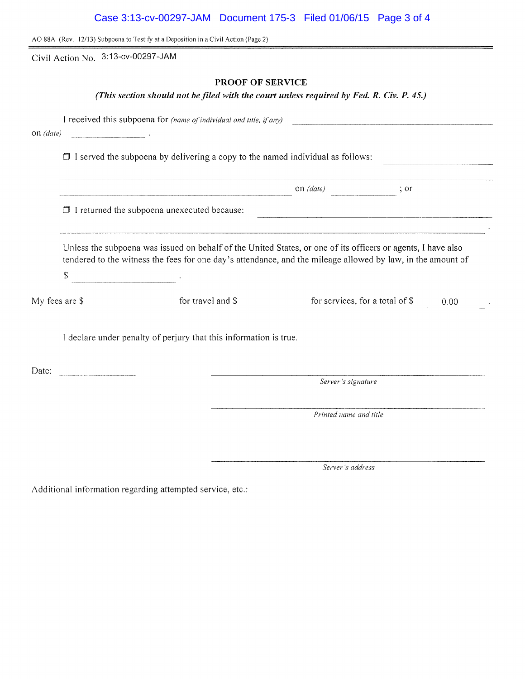| Case 3:13-cv-00297-JAM Document 175-3 Filed 01/06/15 Page 3 of 4 |  |  |
|------------------------------------------------------------------|--|--|
|                                                                  |  |  |

AO SSA (Rev. 12/13) Subpoena to Testify at a Deposition in a Civil Action (Page 2)

Civil Action No. 3:13-cv-00297-JAM

# **PROOF OF SERVICE**

*(This section should not he.filed with the court unless required by Fed. R. Civ. P. 45.)* 

|                |                                                                                                                                                                                                                             | I received this subpoena for (name of individual and title, if any) |                                                         |      |  |  |  |
|----------------|-----------------------------------------------------------------------------------------------------------------------------------------------------------------------------------------------------------------------------|---------------------------------------------------------------------|---------------------------------------------------------|------|--|--|--|
| on (date)      |                                                                                                                                                                                                                             |                                                                     |                                                         |      |  |  |  |
|                | $\Box$ I served the subpoena by delivering a copy to the named individual as follows:                                                                                                                                       |                                                                     |                                                         |      |  |  |  |
|                |                                                                                                                                                                                                                             |                                                                     | on $(data)$<br>$\frac{1}{2}$ or                         |      |  |  |  |
|                | $\Box$ I returned the subpoena unexecuted because:                                                                                                                                                                          |                                                                     |                                                         |      |  |  |  |
|                | Unless the subpoena was issued on behalf of the United States, or one of its officers or agents, I have also<br>tendered to the witness the fees for one day's attendance, and the mileage allowed by law, in the amount of |                                                                     |                                                         |      |  |  |  |
|                | $\mathcal{L}$                                                                                                                                                                                                               |                                                                     |                                                         |      |  |  |  |
| My fees are \$ |                                                                                                                                                                                                                             |                                                                     | for travel and $\$\$ for services, for a total of $\$\$ | 0.00 |  |  |  |
|                | I declare under penalty of perjury that this information is true.                                                                                                                                                           |                                                                     |                                                         |      |  |  |  |
| Date:          |                                                                                                                                                                                                                             |                                                                     |                                                         |      |  |  |  |
|                |                                                                                                                                                                                                                             |                                                                     | Server's signature                                      |      |  |  |  |
|                |                                                                                                                                                                                                                             |                                                                     | Printed name and title                                  |      |  |  |  |
|                |                                                                                                                                                                                                                             |                                                                     |                                                         |      |  |  |  |
|                |                                                                                                                                                                                                                             |                                                                     |                                                         |      |  |  |  |

*Server's address* 

Additional information regarding attempted service, etc.: